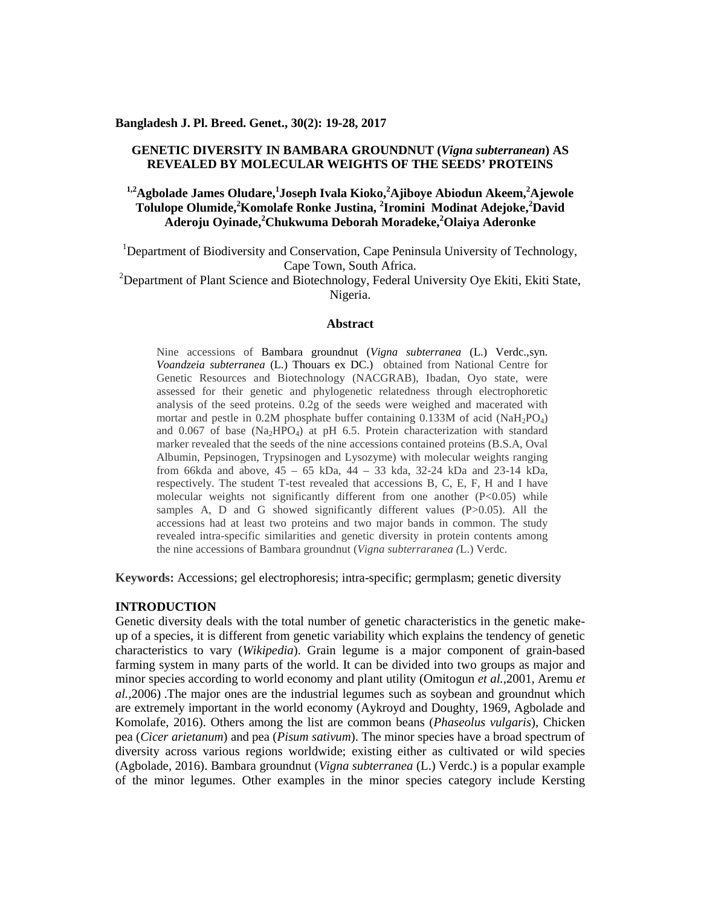## **Bangladesh J. Pl. Breed. Genet., 30(2): 19-28, 2017**

# **GENETIC DIVERSITY IN BAMBARA GROUNDNUT (***Vigna subterranean***) AS REVEALED BY MOLECULAR WEIGHTS OF THE SEEDS' PROTEINS**

# **1,2Agbolade James Oludare,<sup>1</sup>Joseph Ivala Kioko,<sup>2</sup>Ajiboye Abiodun Akeem,<sup>2</sup>Ajewole Tolulope Olumide,<sup>2</sup>Komolafe Ronke Justina, <sup>2</sup>Iromini Modinat Adejoke,<sup>2</sup>David Aderoju Oyinade,<sup>2</sup>Chukwuma Deborah Moradeke,<sup>2</sup>Olaiya Aderonke**

<sup>1</sup>Department of Biodiversity and Conservation, Cape Peninsula University of Technology, Cape Town, South Africa.

<sup>2</sup>Department of Plant Science and Biotechnology, Federal University Oye Ekiti, Ekiti State, Nigeria.

## **Abstract**

Nine accessions of Bambara groundnut (*Vigna subterranea* (L.) Verdc.,syn. *Voandzeia subterranea* (L.) Thouars ex DC.) obtained from National Centre for Genetic Resources and Biotechnology (NACGRAB), Ibadan, Oyo state, were assessed for their genetic and phylogenetic relatedness through electrophoretic analysis of the seed proteins. 0.2g of the seeds were weighed and macerated with mortar and pestle in  $0.2M$  phosphate buffer containing  $0.133M$  of acid (NaH<sub>2</sub>PO<sub>4</sub>) and  $0.067$  of base (Na<sub>2</sub>HPO<sub>4</sub>) at pH 6.5. Protein characterization with standard marker revealed that the seeds of the nine accessions contained proteins (B.S.A, Oval Albumin, Pepsinogen, Trypsinogen and Lysozyme) with molecular weights ranging from 66kda and above, 45 – 65 kDa, 44 – 33 kda, 32-24 kDa and 23-14 kDa, respectively. The student T-test revealed that accessions B, C, E, F, H and I have molecular weights not significantly different from one another (P<0.05) while samples A, D and G showed significantly different values (P>0.05). All the accessions had at least two proteins and two major bands in common. The study revealed intra-specific similarities and genetic diversity in protein contents among the nine accessions of Bambara groundnut (*Vigna subterraranea (*L.) Verdc.

**Keywords:** Accessions; gel electrophoresis; intra-specific; germplasm; genetic diversity

#### **INTRODUCTION**

Genetic diversity deals with the total number of genetic characteristics in the genetic make up of a species, it is different from genetic variability which explains the tendency of genetic characteristics to vary (*Wikipedia*). Grain legume is a major component of grain-based farming system in many parts of the world. It can be divided into two groups as major and minor species according to world economy and plant utility (Omitogun *et al.,*2001, Aremu *et al.,*2006) .The major ones are the industrial legumes such as soybean and groundnut which are extremely important in the world economy (Aykroyd and Doughty, 1969, Agbolade and Komolafe, 2016). Others among the list are common beans (*Phaseolus vulgaris*), Chicken pea (*Cicer arietanum*) and pea (*Pisum sativum*). The minor species have a broad spectrum of diversity across various regions worldwide; existing either as cultivated or wild species (Agbolade, 2016). Bambara groundnut (*Vigna subterranea* (L.) Verdc.) is a popular example of the minor legumes. Other examples in the minor species category include Kersting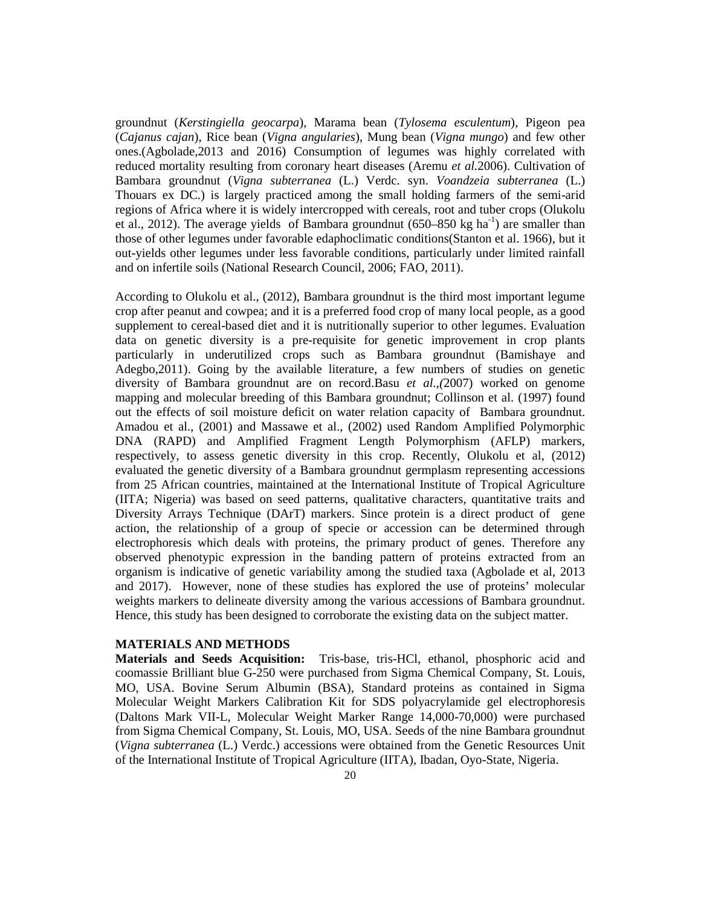groundnut (*Kerstingiella geocarpa*), Marama bean (*Tylosema esculentum*), Pigeon pea (*Cajanus cajan*), Rice bean (*Vigna angularies*), Mung bean (*Vigna mungo*) and few other ones.(Agbolade,2013 and 2016) Consumption of legumes was highly correlated with reduced mortality resulting from coronary heart diseases (Aremu *et al.*2006). Cultivation of Bambara groundnut (*Vigna subterranea* (L.) Verdc. syn. *Voandzeia subterranea* (L.) Thouars ex DC.) is largely practiced among the small holding farmers of the semi-arid regions of Africa where it is widely intercropped with cereals, root and tuber crops (Olukolu et al., 2012). The average yields of Bambara groundnut  $(650-850 \text{ kg ha}^{-1})$  are smaller than those of other legumes under favorable edaphoclimatic conditions(Stanton et al. 1966), but it out-yields other legumes under less favorable conditions, particularly under limited rainfall and on infertile soils (National Research Council, 2006; FAO, 2011).

According to Olukolu et al., (2012), Bambara groundnut is the third most important legume crop after peanut and cowpea; and it is a preferred food crop of many local people, as a good supplement to cereal-based diet and it is nutritionally superior to other legumes. Evaluation data on genetic diversity is a pre-requisite for genetic improvement in crop plants particularly in underutilized crops such as Bambara groundnut (Bamishaye and Adegbo,2011). Going by the available literature, a few numbers of studies on genetic diversity of Bambara groundnut are on record.Basu *et al.,(*2007) worked on genome mapping and molecular breeding of this Bambara groundnut; Collinson et al. (1997) found out the effects of soil moisture deficit on water relation capacity of Bambara groundnut. Amadou et al., (2001) and Massawe et al., (2002) used Random Amplified Polymorphic DNA (RAPD) and Amplified Fragment Length Polymorphism (AFLP) markers, respectively, to assess genetic diversity in this crop. Recently, Olukolu et al, (2012) evaluated the genetic diversity of a Bambara groundnut germplasm representing accessions from 25 African countries, maintained at the International Institute of Tropical Agriculture (IITA; Nigeria) was based on seed patterns, qualitative characters, quantitative traits and Diversity Arrays Technique (DArT) markers. Since protein is a direct product of gene action, the relationship of a group of specie or accession can be determined through electrophoresis which deals with proteins, the primary product of genes. Therefore any observed phenotypic expression in the banding pattern of proteins extracted from an organism is indicative of genetic variability among the studied taxa (Agbolade et al, 2013 and 2017). However, none of these studies has explored the use of proteins' molecular weights markers to delineate diversity among the various accessions of Bambara groundnut. Hence, this study has been designed to corroborate the existing data on the subject matter.

## **MATERIALS AND METHODS**

**Materials and Seeds Acquisition:** Tris-base, tris-HCl, ethanol, phosphoric acid and coomassie Brilliant blue G-250 were purchased from Sigma Chemical Company, St. Louis, MO, USA. Bovine Serum Albumin (BSA), Standard proteins as contained in Sigma Molecular Weight Markers Calibration Kit for SDS polyacrylamide gel electrophoresis (Daltons Mark VII-L, Molecular Weight Marker Range 14,000-70,000) were purchased from Sigma Chemical Company, St. Louis, MO, USA. Seeds of the nine Bambara groundnut (*Vigna subterranea* (L.) Verdc.) accessions were obtained from the Genetic Resources Unit of the International Institute of Tropical Agriculture (IITA), Ibadan, Oyo-State, Nigeria.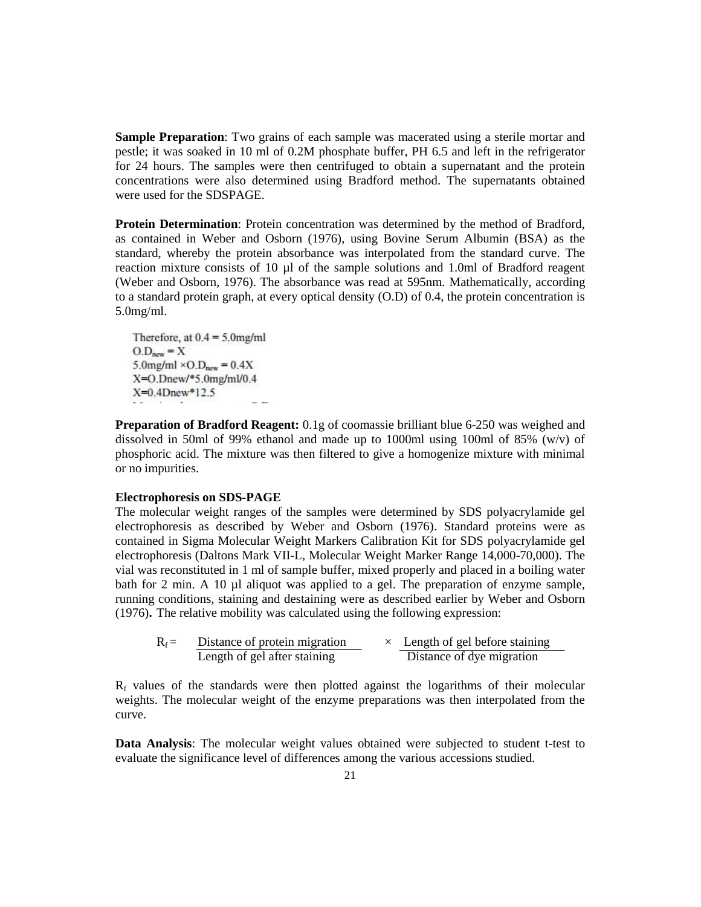**Sample Preparation**: Two grains of each sample was macerated using a sterile mortar and pestle; it was soaked in 10 ml of 0.2M phosphate buffer, PH 6.5 and left in the refrigerator for 24 hours. The samples were then centrifuged to obtain a supernatant and the protein concentrations were also determined using Bradford method. The supernatants obtained were used for the SDSPAGE.

**Protein Determination**: Protein concentration was determined by the method of Bradford, as contained in Weber and Osborn (1976), using Bovine Serum Albumin (BSA) as the standard, whereby the protein absorbance was interpolated from the standard curve. The reaction mixture consists of 10 µl of the sample solutions and 1.0ml of Bradford reagent (Weber and Osborn, 1976). The absorbance was read at 595nm. Mathematically, according to a standard protein graph, at every optical density (O.D) of 0.4, the protein concentration is 5.0mg/ml.

Therefore, at  $0.4 = 5.0$  mg/ml  $O.D<sub>new</sub> = X$ 5.0mg/ml  $\times$  O.D<sub>new</sub> = 0.4X X=O.Dnew/\*5.0mg/ml/0.4  $X=0.4$ Dnew\*12.5

**Preparation of Bradford Reagent:** 0.1g of coomassie brilliant blue 6-250 was weighed and dissolved in 50ml of 99% ethanol and made up to 1000ml using 100ml of 85% (w/v) of phosphoric acid. The mixture was then filtered to give a homogenize mixture with minimal or no impurities.

# **Electrophoresis on SDS-PAGE**

The molecular weight ranges of the samples were determined by SDS polyacrylamide gel electrophoresis as described by Weber and Osborn (1976). Standard proteins were as contained in Sigma Molecular Weight Markers Calibration Kit for SDS polyacrylamide gel electrophoresis (Daltons Mark VII-L, Molecular Weight Marker Range 14,000-70,000). The vial was reconstituted in 1 ml of sample buffer, mixed properly and placed in a boiling water bath for 2 min. A 10 µl aliquot was applied to a gel. The preparation of enzyme sample, running conditions, staining and destaining were as described earlier by Weber and Osborn (1976)**.** The relative mobility was calculated using the following expression:

| $R_f =$ | Distance of protein migration |  | Length of gel before staining |  |
|---------|-------------------------------|--|-------------------------------|--|
|         | Length of gel after staining  |  | Distance of dye migration     |  |

 $R_f$  values of the standards were then plotted against the logarithms of their molecular weights. The molecular weight of the enzyme preparations was then interpolated from the curve.

**Data Analysis**: The molecular weight values obtained were subjected to student t-test to evaluate the significance level of differences among the various accessions studied.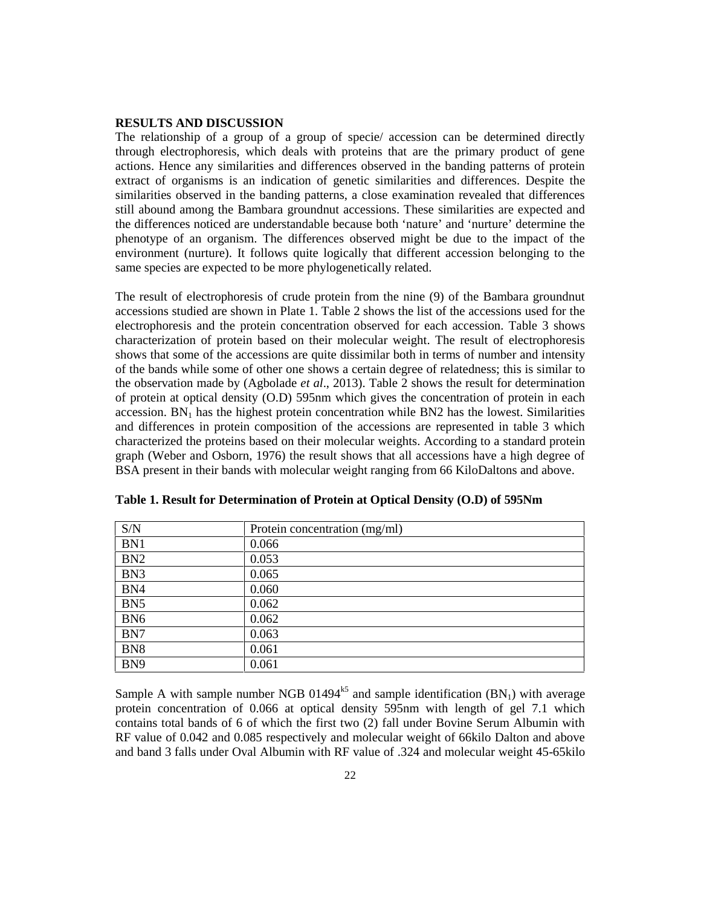#### **RESULTS AND DISCUSSION**

The relationship of a group of a group of specie/ accession can be determined directly through electrophoresis, which deals with proteins that are the primary product of gene actions. Hence any similarities and differences observed in the banding patterns of protein extract of organisms is an indication of genetic similarities and differences. Despite the similarities observed in the banding patterns, a close examination revealed that differences still abound among the Bambara groundnut accessions. These similarities are expected and the differences noticed are understandable because both 'nature' and 'nurture' determine the phenotype of an organism. The differences observed might be due to the impact of the environment (nurture). It follows quite logically that different accession belonging to the same species are expected to be more phylogenetically related.

The result of electrophoresis of crude protein from the nine (9) of the Bambara groundnut accessions studied are shown in Plate 1. Table 2 shows the list of the accessions used for the electrophoresis and the protein concentration observed for each accession. Table 3 shows characterization of protein based on their molecular weight. The result of electrophoresis shows that some of the accessions are quite dissimilar both in terms of number and intensity of the bands while some of other one shows a certain degree of relatedness; this is similar to the observation made by (Agbolade *et al*., 2013). Table 2 shows the result for determination of protein at optical density (O.D) 595nm which gives the concentration of protein in each accession.  $BN<sub>1</sub>$  has the highest protein concentration while BN2 has the lowest. Similarities and differences in protein composition of the accessions are represented in table 3 which characterized the proteins based on their molecular weights. According to a standard protein graph (Weber and Osborn, 1976) the result shows that all accessions have a high degree of BSA present in their bands with molecular weight ranging from 66 KiloDaltons and above.

| S/N             | Protein concentration (mg/ml) |
|-----------------|-------------------------------|
| BN1             | 0.066                         |
| B <sub>N2</sub> | 0.053                         |
| BN <sub>3</sub> | 0.065                         |
| BN4             | 0.060                         |
| BN <sub>5</sub> | 0.062                         |
| BN <sub>6</sub> | 0.062                         |
| BN7             | 0.063                         |
| BN <sub>8</sub> | 0.061                         |
| BN <sub>9</sub> | 0.061                         |

**Table 1. Result for Determination of Protein at Optical Density (O.D) of 595Nm**

Sample A with sample number NGB 01494<sup>k5</sup> and sample identification  $(BN_1)$  with average protein concentration of 0.066 at optical density 595nm with length of gel 7.1 which contains total bands of 6 of which the first two (2) fall under Bovine Serum Albumin with RF value of 0.042 and 0.085 respectively and molecular weight of 66kilo Dalton and above and band 3 falls under Oval Albumin with RF value of .324 and molecular weight 45-65kilo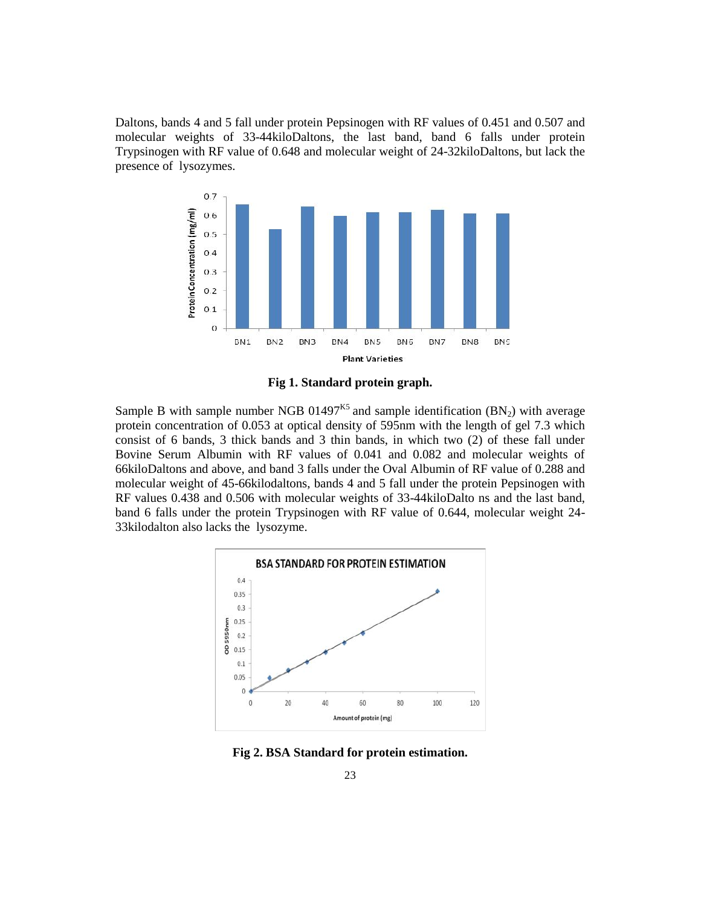Daltons, bands 4 and 5 fall under protein Pepsinogen with RF values of 0.451 and 0.507 and molecular weights of 33-44kiloDaltons, the last band, band 6 falls under protein Trypsinogen with RF value of 0.648 and molecular weight of 24-32kiloDaltons, but lack the presence of lysozymes.



**Fig 1. Standard protein graph.**

Sample B with sample number NGB 01497<sup>K5</sup> and sample identification  $(BN_2)$  with average protein concentration of 0.053 at optical density of 595nm with the length of gel 7.3 which consist of 6 bands, 3 thick bands and 3 thin bands, in which two (2) of these fall under Bovine Serum Albumin with RF values of 0.041 and 0.082 and molecular weights of 66kiloDaltons and above, and band 3 falls under the Oval Albumin of RF value of 0.288 and molecular weight of 45-66kilodaltons, bands 4 and 5 fall under the protein Pepsinogen with RF values 0.438 and 0.506 with molecular weights of 33-44kiloDalto ns and the last band, band 6 falls under the protein Trypsinogen with RF value of 0.644, molecular weight 24- 33kilodalton also lacks the lysozyme.



**Fig 2. BSA Standard for protein estimation.**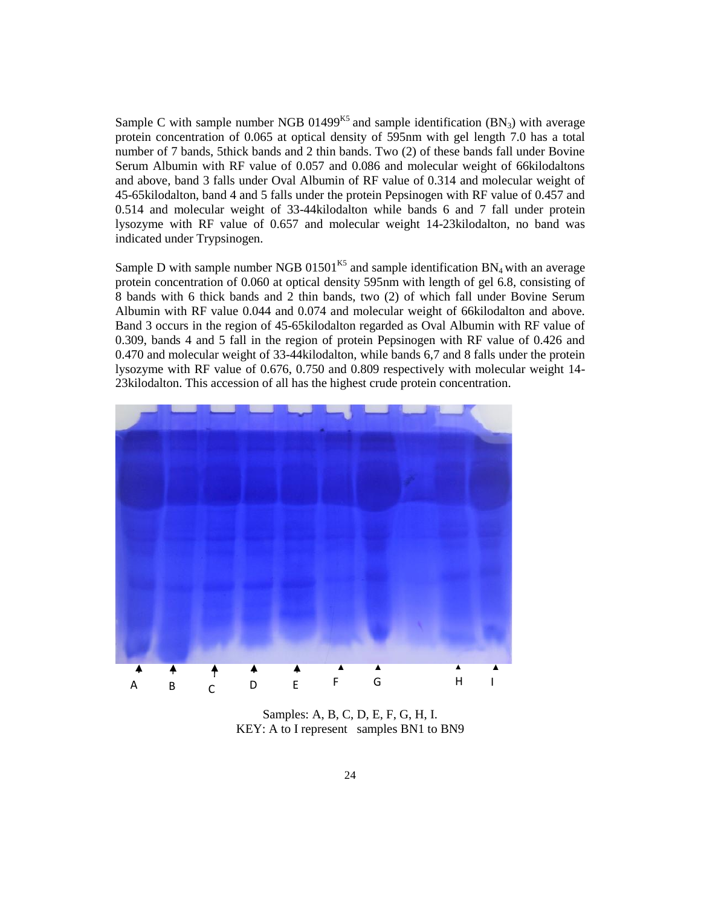Sample C with sample number NGB 01499<sup>K5</sup> and sample identification  $(BN_3)$  with average protein concentration of 0.065 at optical density of 595nm with gel length 7.0 has a total number of 7 bands, 5thick bands and 2 thin bands. Two (2) of these bands fall under Bovine Serum Albumin with RF value of 0.057 and 0.086 and molecular weight of 66kilodaltons and above, band 3 falls under Oval Albumin of RF value of 0.314 and molecular weight of 45-65kilodalton, band 4 and 5 falls under the protein Pepsinogen with RF value of 0.457 and 0.514 and molecular weight of 33-44kilodalton while bands 6 and 7 fall under protein lysozyme with RF value of 0.657 and molecular weight 14-23kilodalton, no band was indicated under Trypsinogen.

Sample D with sample number NGB  $01501^{K5}$  and sample identification BN<sub>4</sub> with an average protein concentration of 0.060 at optical density 595nm with length of gel 6.8, consisting of 8 bands with 6 thick bands and 2 thin bands, two (2) of which fall under Bovine Serum Albumin with RF value 0.044 and 0.074 and molecular weight of 66kilodalton and above. Band 3 occurs in the region of 45-65kilodalton regarded as Oval Albumin with RF value of 0.309, bands 4 and 5 fall in the region of protein Pepsinogen with RF value of 0.426 and 0.470 and molecular weight of 33-44kilodalton, while bands 6,7 and 8 falls under the protein lysozyme with RF value of 0.676, 0.750 and 0.809 respectively with molecular weight 14- 23kilodalton. This accession of all has the highest crude protein concentration.



Samples: A, B, C, D, E, F, G, H, I. KEY: A to I represent samples BN1 to BN9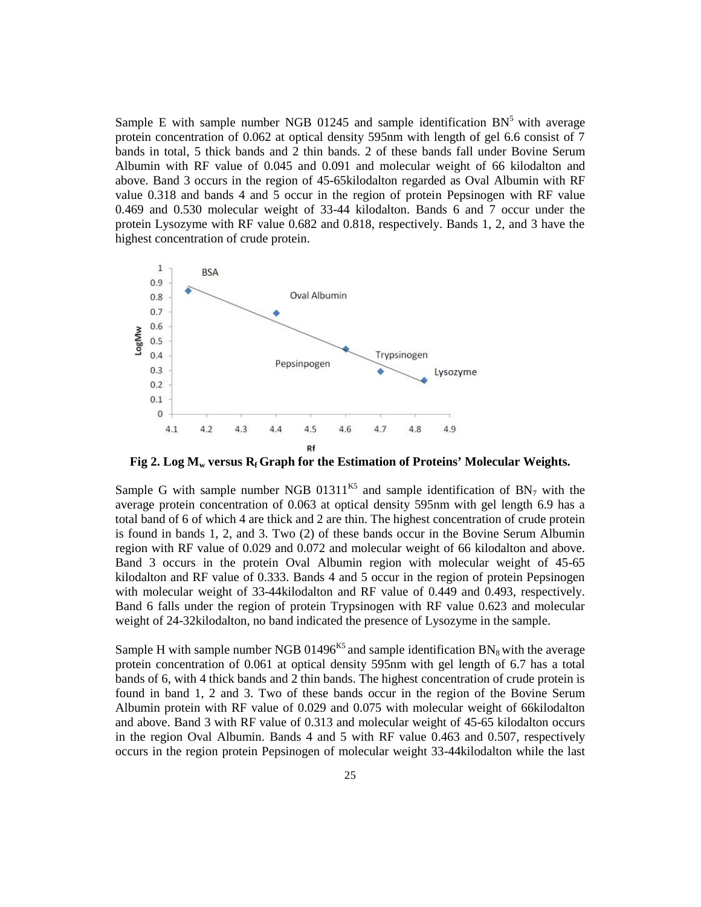Sample E with sample number NGB 01245 and sample identification  $BN<sup>5</sup>$  with average protein concentration of 0.062 at optical density 595nm with length of gel 6.6 consist of 7 bands in total, 5 thick bands and 2 thin bands. 2 of these bands fall under Bovine Serum Albumin with RF value of 0.045 and 0.091 and molecular weight of 66 kilodalton and above. Band 3 occurs in the region of 45-65kilodalton regarded as Oval Albumin with RF value 0.318 and bands 4 and 5 occur in the region of protein Pepsinogen with RF value 0.469 and 0.530 molecular weight of 33-44 kilodalton. Bands 6 and 7 occur under the protein Lysozyme with RF value 0.682 and 0.818, respectively. Bands 1, 2, and 3 have the highest concentration of crude protein.



**Fig 2. Log M<sup>w</sup> versus R<sup>f</sup> Graph for the Estimation of Proteins' Molecular Weights.**

Sample G with sample number NGB 01311<sup>K5</sup> and sample identification of  $BN<sub>7</sub>$  with the average protein concentration of 0.063 at optical density 595nm with gel length 6.9 has a total band of 6 of which 4 are thick and 2 are thin. The highest concentration of crude protein is found in bands 1, 2, and 3. Two (2) of these bands occur in the Bovine Serum Albumin region with RF value of 0.029 and 0.072 and molecular weight of 66 kilodalton and above. Band 3 occurs in the protein Oval Albumin region with molecular weight of 45-65 kilodalton and RF value of 0.333. Bands 4 and 5 occur in the region of protein Pepsinogen with molecular weight of 33-44kilodalton and RF value of 0.449 and 0.493, respectively. Band 6 falls under the region of protein Trypsinogen with RF value 0.623 and molecular weight of 24-32kilodalton, no band indicated the presence of Lysozyme in the sample.

Sample H with sample number NGB 01496<sup>K5</sup> and sample identification  $BN_8$  with the average protein concentration of 0.061 at optical density 595nm with gel length of 6.7 has a total bands of 6, with 4 thick bands and 2 thin bands. The highest concentration of crude protein is found in band 1, 2 and 3. Two of these bands occur in the region of the Bovine Serum Albumin protein with RF value of 0.029 and 0.075 with molecular weight of 66kilodalton and above. Band 3 with RF value of 0.313 and molecular weight of 45-65 kilodalton occurs in the region Oval Albumin. Bands 4 and 5 with RF value 0.463 and 0.507, respectively occurs in the region protein Pepsinogen of molecular weight 33-44kilodalton while the last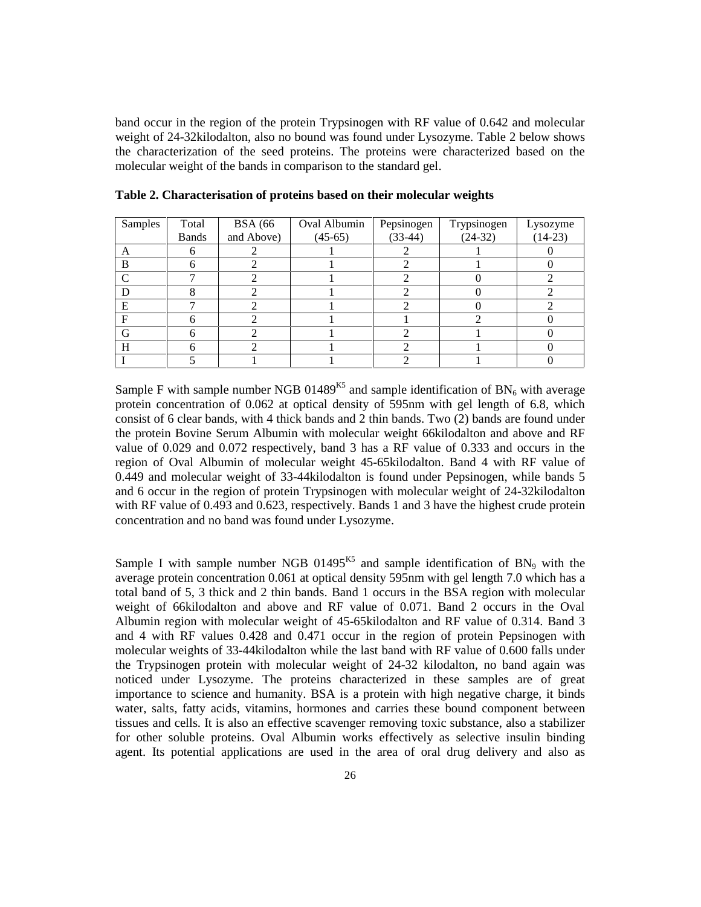band occur in the region of the protein Trypsinogen with RF value of 0.642 and molecular weight of 24-32kilodalton, also no bound was found under Lysozyme. Table 2 below shows the characterization of the seed proteins. The proteins were characterized based on the molecular weight of the bands in comparison to the standard gel.

| Samples    | Total        | <b>BSA</b> (66 | Oval Albumin | Pepsinogen | Trypsinogen | Lysozyme  |
|------------|--------------|----------------|--------------|------------|-------------|-----------|
|            | <b>Bands</b> | and Above)     | $(45-65)$    | $(33-44)$  | $(24-32)$   | $(14-23)$ |
| А          |              |                |              |            |             |           |
| в          |              |                |              |            |             |           |
| $\sqrt{ }$ |              |                |              |            |             |           |
|            |              |                |              |            |             |           |
| Е          |              |                |              |            |             |           |
| F          |              |                |              |            |             |           |
| G          |              |                |              |            |             |           |
| H          |              |                |              |            |             |           |
|            |              |                |              |            |             |           |

**Table 2. Characterisation of proteins based on their molecular weights**

Sample F with sample number NGB 01489<sup>K5</sup> and sample identification of  $BN_6$  with average protein concentration of 0.062 at optical density of 595nm with gel length of 6.8, which consist of 6 clear bands, with 4 thick bands and 2 thin bands. Two (2) bands are found under the protein Bovine Serum Albumin with molecular weight 66kilodalton and above and RF value of 0.029 and 0.072 respectively, band 3 has a RF value of 0.333 and occurs in the region of Oval Albumin of molecular weight 45-65kilodalton. Band 4 with RF value of 0.449 and molecular weight of 33-44kilodalton is found under Pepsinogen, while bands 5 and 6 occur in the region of protein Trypsinogen with molecular weight of 24-32kilodalton with RF value of 0.493 and 0.623, respectively. Bands 1 and 3 have the highest crude protein concentration and no band was found under Lysozyme.

Sample I with sample number NGB  $01495^{K5}$  and sample identification of BN<sub>9</sub> with the average protein concentration 0.061 at optical density 595nm with gel length 7.0 which has a total band of 5, 3 thick and 2 thin bands. Band 1 occurs in the BSA region with molecular weight of 66kilodalton and above and RF value of 0.071. Band 2 occurs in the Oval Albumin region with molecular weight of 45-65kilodalton and RF value of 0.314. Band 3 and 4 with RF values 0.428 and 0.471 occur in the region of protein Pepsinogen with molecular weights of 33-44kilodalton while the last band with RF value of 0.600 falls under the Trypsinogen protein with molecular weight of 24-32 kilodalton, no band again was noticed under Lysozyme. The proteins characterized in these samples are of great importance to science and humanity. BSA is a protein with high negative charge, it binds water, salts, fatty acids, vitamins, hormones and carries these bound component between tissues and cells. It is also an effective scavenger removing toxic substance, also a stabilizer for other soluble proteins. Oval Albumin works effectively as selective insulin binding agent. Its potential applications are used in the area of oral drug delivery and also as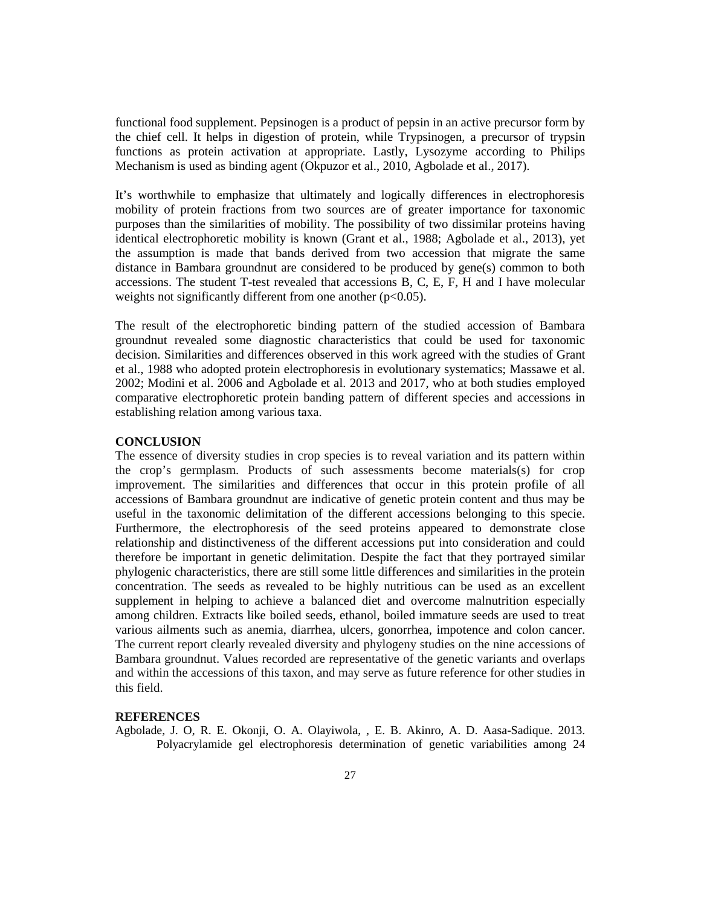functional food supplement. Pepsinogen is a product of pepsin in an active precursor form by the chief cell. It helps in digestion of protein, while Trypsinogen, a precursor of trypsin functions as protein activation at appropriate. Lastly, Lysozyme according to Philips Mechanism is used as binding agent (Okpuzor et al., 2010, Agbolade et al., 2017).

It's worthwhile to emphasize that ultimately and logically differences in electrophoresis mobility of protein fractions from two sources are of greater importance for taxonomic purposes than the similarities of mobility. The possibility of two dissimilar proteins having identical electrophoretic mobility is known (Grant et al., 1988; Agbolade et al., 2013), yet the assumption is made that bands derived from two accession that migrate the same distance in Bambara groundnut are considered to be produced by gene(s) common to both accessions. The student T-test revealed that accessions B, C, E, F, H and I have molecular weights not significantly different from one another  $(p<0.05)$ .

The result of the electrophoretic binding pattern of the studied accession of Bambara groundnut revealed some diagnostic characteristics that could be used for taxonomic decision. Similarities and differences observed in this work agreed with the studies of Grant et al., 1988 who adopted protein electrophoresis in evolutionary systematics; Massawe et al. 2002; Modini et al. 2006 and Agbolade et al. 2013 and 2017, who at both studies employed comparative electrophoretic protein banding pattern of different species and accessions in establishing relation among various taxa.

#### **CONCLUSION**

The essence of diversity studies in crop species is to reveal variation and its pattern within the crop's germplasm. Products of such assessments become materials(s) for crop improvement. The similarities and differences that occur in this protein profile of all accessions of Bambara groundnut are indicative of genetic protein content and thus may be useful in the taxonomic delimitation of the different accessions belonging to this specie. Furthermore, the electrophoresis of the seed proteins appeared to demonstrate close relationship and distinctiveness of the different accessions put into consideration and could therefore be important in genetic delimitation. Despite the fact that they portrayed similar phylogenic characteristics, there are still some little differences and similarities in the protein concentration. The seeds as revealed to be highly nutritious can be used as an excellent supplement in helping to achieve a balanced diet and overcome malnutrition especially among children. Extracts like boiled seeds, ethanol, boiled immature seeds are used to treat various ailments such as anemia, diarrhea, ulcers, gonorrhea, impotence and colon cancer. The current report clearly revealed diversity and phylogeny studies on the nine accessions of Bambara groundnut. Values recorded are representative of the genetic variants and overlaps and within the accessions of this taxon, and may serve as future reference for other studies in this field.

## **REFERENCES**

Agbolade, J. O, R. E. Okonji, O. A. Olayiwola, , E. B. Akinro, A. D. Aasa-Sadique. 2013. Polyacrylamide gel electrophoresis determination of genetic variabilities among 24